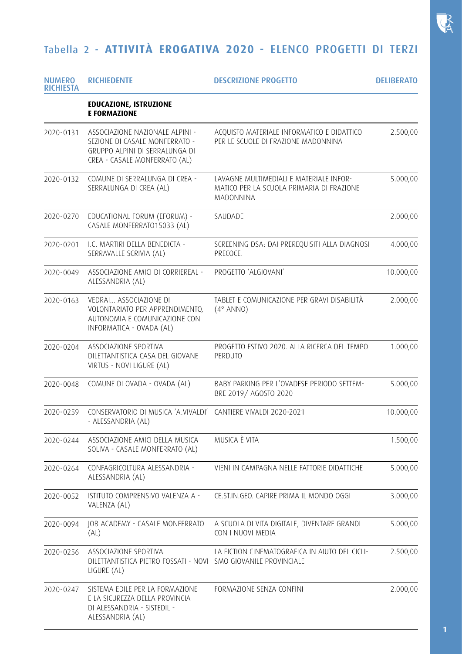## $\mathbb{R}$

## Tabella 2 - **ATTIVITÀ EROGATIVA 2020** - ELENCO PROGETTI DI TERZI

| <b>NUMERO</b><br><b>RICHIESTA</b> | <b>RICHIEDENTE</b>                                                                                                                   | <b>DESCRIZIONE PROGETTO</b>                                                                       | <b>DELIBERATO</b> |
|-----------------------------------|--------------------------------------------------------------------------------------------------------------------------------------|---------------------------------------------------------------------------------------------------|-------------------|
|                                   | <b>EDUCAZIONE, ISTRUZIONE</b><br><b>E FORMAZIONE</b>                                                                                 |                                                                                                   |                   |
| 2020-0131                         | ASSOCIAZIONE NAZIONALE ALPINI -<br>SEZIONE DI CASALE MONFERRATO -<br>GRUPPO ALPINI DI SERRALUNGA DI<br>CREA - CASALE MONFERRATO (AL) | ACQUISTO MATERIALE INFORMATICO E DIDATTICO<br>PER LE SCUOLE DI FRAZIONE MADONNINA                 | 2.500,00          |
| 2020-0132                         | COMUNE DI SERRALUNGA DI CREA -<br>SERRALUNGA DI CREA (AL)                                                                            | LAVAGNE MULTIMEDIALI E MATERIALE INFOR-<br>MATICO PER LA SCUOLA PRIMARIA DI FRAZIONE<br>MADONNINA | 5.000,00          |
| 2020-0270                         | EDUCATIONAL FORUM (EFORUM) -<br>CASALE MONFERRATO15033 (AL)                                                                          | SAUDADE                                                                                           | 2.000,00          |
| 2020-0201                         | I.C. MARTIRI DELLA BENEDICTA -<br>SERRAVALLE SCRIVIA (AL)                                                                            | SCREENING DSA: DAI PREREQUISITI ALLA DIAGNOSI<br>PRECOCE.                                         | 4.000,00          |
| 2020-0049                         | ASSOCIAZIONE AMICI DI CORRIEREAL -<br>ALESSANDRIA (AL)                                                                               | PROGETTO 'ALGIOVANI'                                                                              | 10.000,00         |
| 2020-0163                         | VEDRAI ASSOCIAZIONE DI<br>VOLONTARIATO PER APPRENDIMENTO,<br>AUTONOMIA E COMUNICAZIONE CON<br>INFORMATICA - OVADA (AL)               | TABLET E COMUNICAZIONE PER GRAVI DISABILITÀ<br>$(4^{\circ}$ ANNO)                                 | 2.000,00          |
| 2020-0204                         | ASSOCIAZIONE SPORTIVA<br>DILETTANTISTICA CASA DEL GIOVANE<br>VIRTUS - NOVI LIGURE (AL)                                               | PROGETTO ESTIVO 2020. ALLA RICERCA DEL TEMPO<br>PERDUTO                                           | 1.000,00          |
| 2020-0048                         | COMUNE DI OVADA - OVADA (AL)                                                                                                         | BABY PARKING PER L'OVADESE PERIODO SETTEM-<br>BRE 2019/ AGOSTO 2020                               | 5.000,00          |
| 2020-0259                         | CONSERVATORIO DI MUSICA 'A.VIVALDI' CANTIERE VIVALDI 2020-2021<br>- ALESSANDRIA (AL)                                                 |                                                                                                   | 10.000,00         |
| 2020-0244                         | ASSOCIAZIONE AMICI DELLA MUSICA<br>SOLIVA - CASALE MONFERRATO (AL)                                                                   | MUSICA È VITA                                                                                     | 1.500,00          |
| 2020-0264                         | CONFAGRICOLTURA ALESSANDRIA -<br>ALESSANDRIA (AL)                                                                                    | VIENI IN CAMPAGNA NELLE FATTORIE DIDATTICHE                                                       | 5.000,00          |
| 2020-0052                         | ISTITUTO COMPRENSIVO VALENZA A -<br>VALENZA (AL)                                                                                     | CE.ST.IN.GEO. CAPIRE PRIMA IL MONDO OGGI                                                          | 3.000,00          |
| 2020-0094                         | JOB ACADEMY - CASALE MONFERRATO<br>(AL)                                                                                              | A SCUOLA DI VITA DIGITALE, DIVENTARE GRANDI<br>CON I NUOVI MEDIA                                  | 5.000,00          |
| 2020-0256                         | ASSOCIAZIONE SPORTIVA<br>DILETTANTISTICA PIETRO FOSSATI - NOVI SMO GIOVANILE PROVINCIALE<br>LIGURE (AL)                              | LA FICTION CINEMATOGRAFICA IN AIUTO DEL CICLI-                                                    | 2.500,00          |
| 2020-0247                         | SISTEMA EDILE PER LA FORMAZIONE<br>E LA SICUREZZA DELLA PROVINCIA<br>DI ALESSANDRIA - SISTEDIL -<br>ALESSANDRIA (AL)                 | FORMAZIONE SENZA CONFINI                                                                          | 2.000,00          |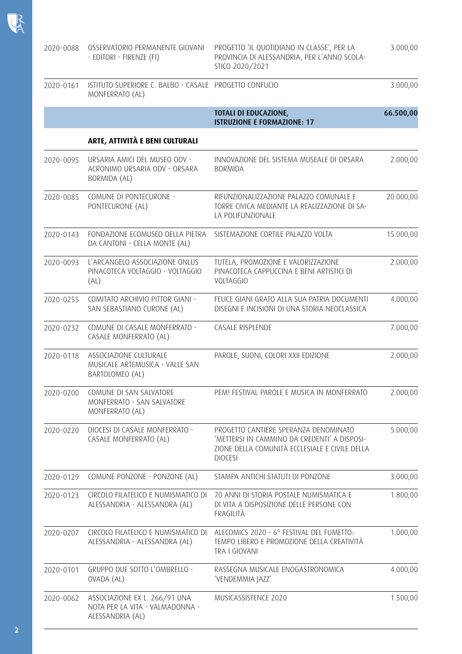| 2020-0088 | OSSERVATORIO PERMANENTE GIOVANI<br>- EDITORI - FIRENZE (FI)                          | PROGETTO 'IL QUOTIDIANO IN CLASSE', PER LA<br>PROVINCIA DI ALESSANDRIA, PER L'ANNO SCOLA-<br>STICO 2020/2021                                              | 3.000,00  |
|-----------|--------------------------------------------------------------------------------------|-----------------------------------------------------------------------------------------------------------------------------------------------------------|-----------|
| 2020-0161 | ISTITUTO SUPERIORE C. BALBO - CASALE PROGETTO CONFUCIO<br>MONFERRATO (AL)            |                                                                                                                                                           | 3.000,00  |
|           |                                                                                      | <b>TOTALI DI EDUCAZIONE,</b><br><b>ISTRUZIONE E FORMAZIONE: 17</b>                                                                                        | 66.500,00 |
|           | ARTE, ATTIVITÀ E BENI CULTURALI                                                      |                                                                                                                                                           |           |
| 2020-0095 | URSARIA AMICI DEL MUSEO ODV -<br>ACRONIMO URSARIA ODV - ORSARA<br>BORMIDA (AL)       | INNOVAZIONE DEL SISTEMA MUSEALE DI ORSARA<br><b>BORMIDA</b>                                                                                               | 2.000,00  |
| 2020-0085 | COMUNE DI PONTECURONE -<br>PONTECURONE (AL)                                          | RIFUNZIONALIZZAZIONE PALAZZO COMUNALE E<br>TORRE CIVICA MEDIANTE LA REALIZZAZIONE DI SA-<br>LA POLIFUNZIONALE                                             | 20.000,00 |
| 2020-0143 | FONDAZIONE ECOMUSEO DELLA PIETRA<br>DA CANTONI - CELLA MONTE (AL)                    | SISTEMAZIONE CORTILE PALAZZO VOLTA                                                                                                                        | 15.000,00 |
| 2020-0093 | L'ARCANGELO ASSOCIAZIONE ONLUS<br>PINACOTECA VOLTAGGIO - VOLTAGGIO<br>(AL)           | TUTELA, PROMOZIONE E VALORIZZAZIONE<br>PINACOTECA CAPPUCCINA E BENI ARTISTICI DI<br>VOLTAGGIO                                                             | 2.000,00  |
| 2020-0255 | COMITATO ARCHIVIO PITTOR GIANI -<br>SAN SEBASTIANO CURONE (AL)                       | FELICE GIANI GRATO ALLA SUA PATRIA DOCUMENTI<br>DISEGNI E INCISIONI DI UNA STORIA NEOCLASSICA                                                             | 4.000,00  |
| 2020-0232 | COMUNE DI CASALE MONFERRATO -<br>CASALE MONFERRATO (AL)                              | CASALE RISPLENDE                                                                                                                                          | 7.000,00  |
| 2020-0118 | ASSOCIAZIONE CULTURALE<br>MUSICALE ARTEMUSICA - VALLE SAN<br>BARTOLOMEO (AL)         | PAROLE, SUONI, COLORI XXII EDIZIONE                                                                                                                       | 2.000,00  |
| 2020-0200 | COMUNE DI SAN SALVATORE<br>MONFERRATO - SAN SALVATORE<br>MONFERRATO (AL)             | PEM! FESTIVAL PAROLE E MUSICA IN MONFERRATO                                                                                                               | 2.000,00  |
| 2020-0220 | DIOCESI DI CASALE MONFERRATO -<br>CASALE MONFERRATO (AL)                             | PROGETTO CANTIERE SPERANZA DENOMINATO<br>'METTERSI IN CAMMINO DA CREDENTI' A DISPOSI-<br>ZIONE DELLA COMUNITÀ ECCLESIALE E CIVILE DELLA<br><b>DIOCESI</b> | 5.000,00  |
| 2020-0129 | COMUNE PONZONE - PONZONE (AL)                                                        | STAMPA ANTICHI STATUTI DI PONZONE                                                                                                                         | 3.000,00  |
| 2020-0123 | CIRCOLO FILATELICO E NUMISMATICO DI<br>ALESSANDRIA - ALESSANDRA (AL)                 | 70 ANNI DI STORIA POSTALE NUMISMATICA E<br>DI VITA A DISPOSIZIONE DELLE PERSONE CON<br>FRAGILITÀ                                                          | 1.800,00  |
| 2020-0207 | CIRCOLO FILATELICO E NUMISMATICO DI<br>ALESSANDRIA - ALESSANDRA (AL)                 | ALECOMICS 2020 - 6° FESTIVAL DEL FUMETTO:<br>TEMPO LIBERO E PROMOZIONE DELLA CREATIVITÀ<br>TRA I GIOVANI                                                  | 1.000,00  |
| 2020-0101 | GRUPPO DUE SOTTO L'OMBRELLO -<br>OVADA (AL)                                          | RASSEGNA MUSICALE ENOGASTRONOMICA<br>'VENDEMMIA JAZZ'                                                                                                     | 4.000,00  |
| 2020-0062 | ASSOCIAZIONE EX L. 266/91 UNA<br>NOTA PER LA VITA - VALMADONNA -<br>ALESSANDRIA (AL) | MUSICASSISTENCE 2020                                                                                                                                      | 1.500,00  |

 $R$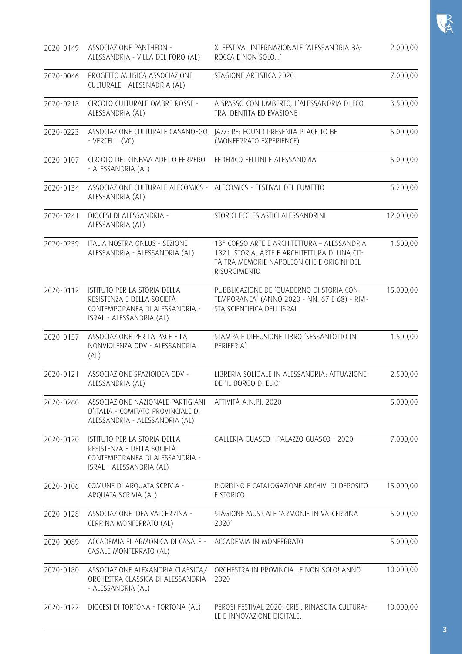| 2020-0149 | ASSOCIAZIONE PANTHEON -<br>ALESSANDRIA - VILLA DEL FORO (AL)                                                             | XI FESTIVAL INTERNAZIONALE 'ALESSANDRIA BA-<br>ROCCA E NON SOLO'                                                                                          | 2.000,00  |
|-----------|--------------------------------------------------------------------------------------------------------------------------|-----------------------------------------------------------------------------------------------------------------------------------------------------------|-----------|
| 2020-0046 | PROGETTO MUISICA ASSOCIAZIONE<br>CULTURALE - ALESSNADRIA (AL)                                                            | STAGIONE ARTISTICA 2020                                                                                                                                   | 7.000,00  |
| 2020-0218 | CIRCOLO CULTURALE OMBRE ROSSE -<br>ALESSANDRIA (AL)                                                                      | A SPASSO CON UMBERTO, L'ALESSANDRIA DI ECO<br>TRA IDENTITÀ ED EVASIONE                                                                                    | 3.500,00  |
| 2020-0223 | ASSOCIAZIONE CULTURALE CASANOEGO<br>- VERCELLI (VC)                                                                      | JAZZ: RE: FOUND PRESENTA PLACE TO BE<br>(MONFERRATO EXPERIENCE)                                                                                           | 5.000,00  |
| 2020-0107 | CIRCOLO DEL CINEMA ADELIO FERRERO<br>- ALESSANDRIA (AL)                                                                  | FEDERICO FELLINI E ALESSANDRIA                                                                                                                            | 5.000,00  |
| 2020-0134 | ASSOCIAZIONE CULTURALE ALECOMICS - ALECOMICS - FESTIVAL DEL FUMETTO<br>ALESSANDRIA (AL)                                  |                                                                                                                                                           | 5.200,00  |
| 2020-0241 | DIOCESI DI ALESSANDRIA -<br>ALESSANDRIA (AL)                                                                             | STORICI ECCLESIASTICI ALESSANDRINI                                                                                                                        | 12.000,00 |
| 2020-0239 | ITALIA NOSTRA ONLUS - SEZIONE<br>ALESSANDRIA - ALESSANDRIA (AL)                                                          | 13° CORSO ARTE E ARCHITETTURA - ALESSANDRIA<br>1821. STORIA, ARTE E ARCHITETTURA DI UNA CIT-<br>TÀ TRA MEMORIE NAPOLEONICHE E ORIGINI DEL<br>RISORGIMENTO | 1.500,00  |
| 2020-0112 | ISTITUTO PER LA STORIA DELLA<br>RESISTENZA E DELLA SOCIETÀ<br>CONTEMPORANEA DI ALESSANDRIA -<br>ISRAL - ALESSANDRIA (AL) | PUBBLICAZIONE DE 'QUADERNO DI STORIA CON-<br>TEMPORANEA' (ANNO 2020 - NN. 67 E 68) - RIVI-<br>STA SCIENTIFICA DELL'ISRAL                                  | 15.000,00 |
| 2020-0157 | ASSOCIAZIONE PER LA PACE E LA<br>NONVIOLENZA ODV - ALESSANDRIA<br>(AL)                                                   | STAMPA E DIFFUSIONE LIBRO 'SESSANTOTTO IN<br>PERIFERIA'                                                                                                   | 1.500,00  |
| 2020-0121 | ASSOCIAZIONE SPAZIOIDEA ODV -<br>ALESSANDRIA (AL)                                                                        | LIBRERIA SOLIDALE IN ALESSANDRIA: ATTUAZIONE<br>DE 'IL BORGO DI ELIO'                                                                                     | 2.500,00  |
| 2020-0260 | ASSOCIAZIONE NAZIONALE PARTIGIANI<br>D'ITALIA - COMITATO PROVINCIALE DI<br>ALESSANDRIA - ALESSANDRIA (AL)                | ATTIVITÀ A.N.P.I. 2020                                                                                                                                    | 5.000,00  |
| 2020-0120 | ISTITUTO PER LA STORIA DELLA<br>RESISTENZA E DELLA SOCIETÀ<br>CONTEMPORANEA DI ALESSANDRIA -<br>ISRAL - ALESSANDRIA (AL) | GALLERIA GUASCO - PALAZZO GUASCO - 2020                                                                                                                   | 7.000,00  |
| 2020-0106 | COMUNE DI ARQUATA SCRIVIA -<br>ARQUATA SCRIVIA (AL)                                                                      | RIORDINO E CATALOGAZIONE ARCHIVI DI DEPOSITO<br>E STORICO                                                                                                 | 15.000,00 |
| 2020-0128 | ASSOCIAZIONE IDEA VALCERRINA -<br>CERRINA MONFERRATO (AL)                                                                | STAGIONE MUSICALE 'ARMONIE IN VALCERRINA<br>2020                                                                                                          | 5.000,00  |
| 2020-0089 | ACCADEMIA FILARMONICA DI CASALE -<br>CASALE MONFERRATO (AL)                                                              | ACCADEMIA IN MONFERRATO                                                                                                                                   | 5.000,00  |
| 2020-0180 | ASSOCIAZIONE ALEXANDRIA CLASSICA/<br>ORCHESTRA CLASSICA DI ALESSANDRIA<br>- ALESSANDRIA (AL)                             | ORCHESTRA IN PROVINCIAE NON SOLO! ANNO<br>2020                                                                                                            | 10.000,00 |
| 2020-0122 | DIOCESI DI TORTONA - TORTONA (AL)                                                                                        | PEROSI FESTIVAL 2020: CRISI, RINASCITA CULTURA-<br>LE E INNOVAZIONE DIGITALE.                                                                             | 10.000,00 |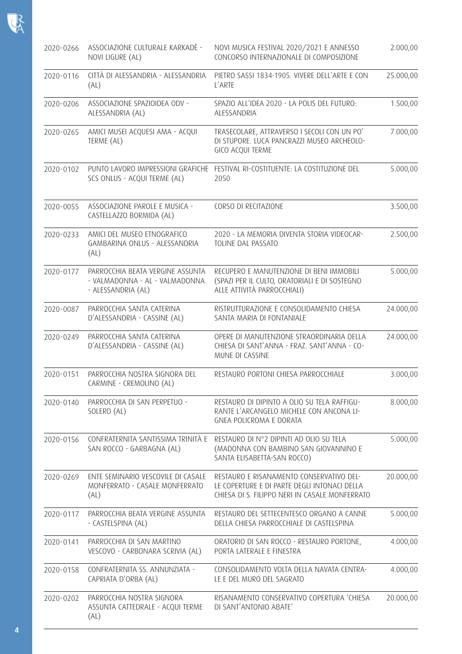| 2020-0266 | ASSOCIAZIONE CULTURALE KARKADÈ -<br>NOVI LIGURE (AL)                                     | NOVI MUSICA FESTIVAL 2020/2021 E ANNESSO<br>CONCORSO INTERNAZIONALE DI COMPOSIZIONE                                                        | 2.000,00  |
|-----------|------------------------------------------------------------------------------------------|--------------------------------------------------------------------------------------------------------------------------------------------|-----------|
| 2020-0116 | CITTÀ DI ALESSANDRIA - ALESSANDRIA<br>(AL)                                               | PIETRO SASSI 1834-1905. VIVERE DELL'ARTE E CON<br>L'ARTE                                                                                   | 25.000,00 |
| 2020-0206 | ASSOCIAZIONE SPAZIOIDEA ODV -<br>ALESSANDRIA (AL)                                        | SPAZIO ALL'IDEA 2020 - LA POLIS DEL FUTURO:<br>ALESSANDRIA                                                                                 | 1.500,00  |
| 2020-0265 | AMICI MUSEI ACQUESI AMA - ACQUI<br>TERME (AL)                                            | TRASECOLARE, ATTRAVERSO I SECOLI CON UN PO'<br>DI STUPORE. LUCA PANCRAZZI MUSEO ARCHEOLO-<br>GICO ACQUI TERME                              | 7.000,00  |
| 2020-0102 | SCS ONLUS - ACQUI TERME (AL)                                                             | PUNTO LAVORO IMPRESSIONI GRAFICHE FESTIVAL RI-COSTITUENTE: LA COSTITUZIONE DEL<br>2050                                                     | 5.000,00  |
| 2020-0055 | ASSOCIAZIONE PAROLE E MUSICA -<br>CASTELLAZZO BORMIDA (AL)                               | CORSO DI RECITAZIONE                                                                                                                       | 3.500,00  |
| 2020-0233 | AMICI DEL MUSEO ETNOGRAFICO<br>GAMBARINA ONLUS - ALESSANDRIA<br>(AL)                     | 2020 - LA MEMORIA DIVENTA STORIA VIDEOCAR-<br>TOLINE DAL PASSATO                                                                           | 2.500,00  |
| 2020-0177 | PARROCCHIA BEATA VERGINE ASSUNTA<br>- VALMADONNA - AL - VALMADONNA<br>- ALESSANDRIA (AL) | RECUPERO E MANUTENZIONE DI BENI IMMOBILI<br>(SPAZI PER IL CULTO, ORATORIALI E DI SOSTEGNO<br>ALLE ATTIVITÀ PARROCCHIALI)                   | 5.000,00  |
| 2020-0087 | PARROCCHIA SANTA CATERINA<br>D'ALESSANDRIA - CASSINE (AL)                                | RISTRUTTURAZIONE E CONSOLIDAMENTO CHIESA<br>SANTA MARIA DI FONTANIALE                                                                      | 24.000,00 |
| 2020-0249 | PARROCCHIA SANTA CATERINA<br>D'ALESSANDRIA - CASSINE (AL)                                | OPERE DI MANUTENZIONE STRAORDINARIA DELLA<br>CHIESA DI SANT'ANNA - FRAZ. SANT'ANNA - CO-<br>MUNE DI CASSINE                                | 24.000,00 |
| 2020-0151 | PARROCCHIA NOSTRA SIGNORA DEL<br>CARMINE - CREMOLINO (AL)                                | RESTAURO PORTONI CHIESA PARROCCHIALE                                                                                                       | 3.000,00  |
| 2020-0140 | PARROCCHIA DI SAN PERPETUO -<br>SOLERO (AL)                                              | RESTAURO DI DIPINTO A OLIO SU TELA RAFFIGU-<br>RANTE L'ARCANGELO MICHELE CON ANCONA LI-<br>GNEA POLICROMA E DORATA                         | 8.000,00  |
| 2020-0156 | CONFRATERNITA SANTISSIMA TRINITÀ E<br>SAN ROCCO - GARBAGNA (AL)                          | RESTAURO DI Nº2 DIPINTI AD OLIO SU TELA<br>(MADONNA CON BAMBINO SAN GIOVANNINO E<br>SANTA ELISABETTA-SAN ROCCO)                            | 5.000,00  |
| 2020-0269 | ENTE SEMINARIO VESCOVILE DI CASALE<br>MONFERRATO - CASALE MONFERRATO<br>(AL)             | RESTAURO E RISANAMENTO CONSERVATIVO DEL-<br>LE COPERTURE E DI PARTE DEGLI INTONACI DELLA<br>CHIESA DI S. FILIPPO NERI IN CASALE MONFERRATO | 20.000,00 |
| 2020-0117 | PARROCCHIA BEATA VERGINE ASSUNTA<br>- CASTELSPINA (AL)                                   | RESTAURO DEL SETTECENTESCO ORGANO A CANNE<br>DELLA CHIESA PARROCCHIALE DI CASTELSPINA                                                      | 5.000,00  |
| 2020-0141 | PARROCCHIA DI SAN MARTINO<br>VESCOVO - CARBONARA SCRIVIA (AL)                            | ORATORIO DI SAN ROCCO - RESTAURO PORTONE,<br>PORTA LATERALE E FINESTRA                                                                     | 4.000,00  |
| 2020-0158 | CONFRATERNITA SS. ANNUNZIATA -<br>CAPRIATA D'ORBA (AL)                                   | CONSOLIDAMENTO VOLTA DELLA NAVATA CENTRA-<br>LE E DEL MURO DEL SAGRATO                                                                     | 4.000,00  |
| 2020-0202 | PARROCCHIA NOSTRA SIGNORA<br>ASSUNTA CATTEDRALE - ACQUI TERME<br>(AL)                    | RISANAMENTO CONSERVATIVO COPERTURA 'CHIESA<br>DI SANT'ANTONIO ABATE'                                                                       | 20.000,00 |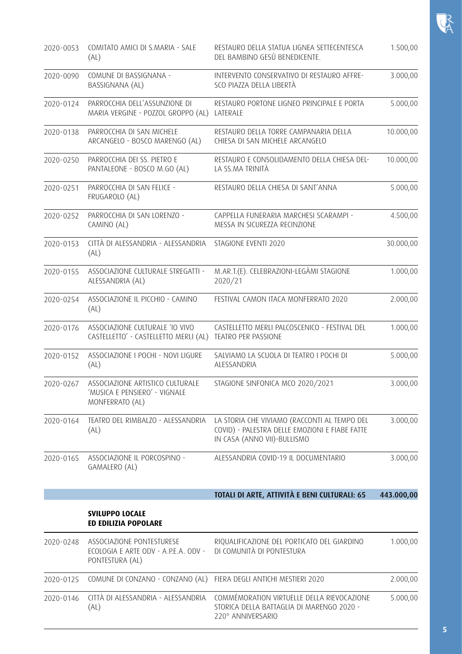| 2020-0053 | COMITATO AMICI DI S.MARIA - SALE<br>(AL)                                             | RESTAURO DELLA STATUA LIGNEA SETTECENTESCA<br>DEL BAMBINO GESÙ BENEDICENTE.                                                   | 1.500,00   |
|-----------|--------------------------------------------------------------------------------------|-------------------------------------------------------------------------------------------------------------------------------|------------|
| 2020-0090 | COMUNE DI BASSIGNANA -<br>BASSIGNANA (AL)                                            | INTERVENTO CONSERVATIVO DI RESTAURO AFFRE-<br>SCO PIAZZA DELLA LIBERTÀ                                                        | 3.000,00   |
| 2020-0124 | PARROCCHIA DELL'ASSUNZIONE DI<br>MARIA VERGINE - POZZOL GROPPO (AL)                  | RESTAURO PORTONE LIGNEO PRINCIPALE E PORTA<br>LATERALE                                                                        | 5.000,00   |
| 2020-0138 | PARROCCHIA DI SAN MICHELE<br>ARCANGELO - BOSCO MARENGO (AL)                          | RESTAURO DELLA TORRE CAMPANARIA DELLA<br>CHIESA DI SAN MICHELE ARCANGELO                                                      | 10.000,00  |
| 2020-0250 | PARROCCHIA DEI SS. PIETRO E<br>PANTALEONE - BOSCO M.GO (AL)                          | RESTAURO E CONSOLIDAMENTO DELLA CHIESA DEL-<br>LA SS.MA TRINITÀ                                                               | 10.000,00  |
| 2020-0251 | PARROCCHIA DI SAN FELICE -<br>FRUGAROLO (AL)                                         | RESTAURO DELLA CHIESA DI SANT'ANNA                                                                                            | 5.000,00   |
| 2020-0252 | PARROCCHIA DI SAN LORENZO -<br>CAMINO (AL)                                           | CAPPELLA FUNERARIA MARCHESI SCARAMPI -<br>MESSA IN SICUREZZA RECINZIONE                                                       | 4.500,00   |
| 2020-0153 | CITTÀ DI ALESSANDRIA - ALESSANDRIA<br>(AL)                                           | STAGIONE EVENTI 2020                                                                                                          | 30.000,00  |
| 2020-0155 | ASSOCIAZIONE CULTURALE STREGATTI -<br>ALESSANDRIA (AL)                               | M.AR.T.(E). CELEBRAZIONI-LEGÀMI STAGIONE<br>2020/21                                                                           | 1.000,00   |
| 2020-0254 | ASSOCIAZIONE IL PICCHIO - CAMINO<br>(AL)                                             | FESTIVAL CAMON ITACA MONFERRATO 2020                                                                                          | 2.000,00   |
| 2020-0176 | ASSOCIAZIONE CULTURALE 'IO VIVO<br>CASTELLETTO' - CASTELLETTO MERLI (AL)             | CASTELLETTO MERLI PALCOSCENICO - FESTIVAL DEL<br>TEATRO PER PASSIONE                                                          | 1.000,00   |
| 2020-0152 | ASSOCIAZIONE I POCHI - NOVI LIGURE<br>(AL)                                           | SALVIAMO LA SCUOLA DI TEATRO I POCHI DI<br>ALESSANDRIA                                                                        | 5.000,00   |
| 2020-0267 | ASSOCIAZIONE ARTISTICO CULTURALE<br>'MUSICA E PENSIERO' - VIGNALE<br>MONFERRATO (AL) | STAGIONE SINFONICA MCO 2020/2021                                                                                              | 3.000,00   |
| 2020-0164 | TEATRO DEL RIMBALZO - ALESSANDRIA<br>(AL)                                            | LA STORIA CHE VIVIAMO (RACCONTI AL TEMPO DEL<br>COVID) - PALESTRA DELLE EMOZIONI E FIABE FATTE<br>IN CASA (ANNO VII)-BULLISMO | 3.000,00   |
| 2020-0165 | ASSOCIAZIONE IL PORCOSPINO -<br>GAMALERO (AL)                                        | ALESSANDRIA COVID-19 IL DOCUMENTARIO                                                                                          | 3.000,00   |
|           |                                                                                      | TOTALI DI ARTE, ATTIVITÀ E BENI CULTURALI: 65                                                                                 | 443.000,00 |
|           | <b>SVILUPPO LOCALE</b><br><b>ED EDILIZIA POPOLARE</b>                                |                                                                                                                               |            |
| 2020-0248 | ASSOCIAZIONE PONTESTURESE<br>ECOLOGIA E ARTE ODV - A.P.E.A. ODV -<br>PONTESTURA (AL) | RIQUALIFICAZIONE DEL PORTICATO DEL GIARDINO<br>DI COMUNITÀ DI PONTESTURA                                                      | 1.000,00   |
| 2020-0125 | COMUNE DI CONZANO - CONZANO (AL)                                                     | FIERA DEGLI ANTICHI MESTIERI 2020                                                                                             | 2.000,00   |
| 2020-0146 | CITTÀ DI ALESSANDRIA - ALESSANDRIA<br>(AL)                                           | COMMÉMORATION VIRTUELLE DELLA RIEVOCAZIONE<br>STORICA DELLA BATTAGLIA DI MARENGO 2020 -<br>220° ANNIVERSARIO                  | 5.000,00   |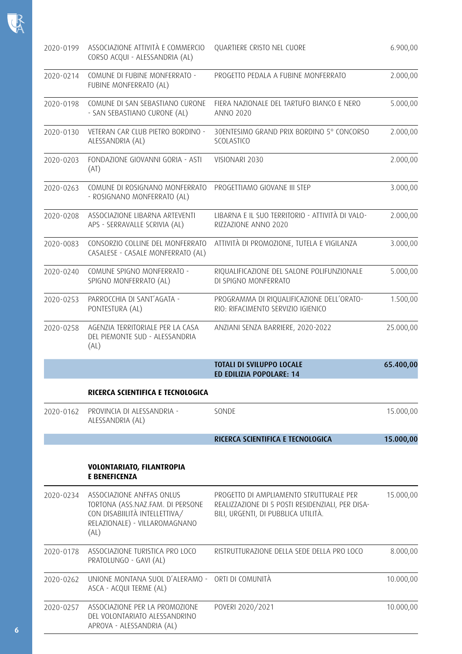| 2020-0199 | ASSOCIAZIONE ATTIVITÀ E COMMERCIO<br>CORSO ACQUI - ALESSANDRIA (AL)                                                                     | QUARTIERE CRISTO NEL CUORE                                                                                                         | 6.900,00  |
|-----------|-----------------------------------------------------------------------------------------------------------------------------------------|------------------------------------------------------------------------------------------------------------------------------------|-----------|
| 2020-0214 | COMUNE DI FUBINE MONFERRATO -<br>FUBINE MONFERRATO (AL)                                                                                 | PROGETTO PEDALA A FUBINE MONFERRATO                                                                                                | 2.000,00  |
| 2020-0198 | COMUNE DI SAN SEBASTIANO CURONE<br>- SAN SEBASTIANO CURONE (AL)                                                                         | FIERA NAZIONALE DEL TARTUFO BIANCO E NERO<br><b>ANNO 2020</b>                                                                      | 5.000,00  |
| 2020-0130 | VETERAN CAR CLUB PIETRO BORDINO -<br>ALESSANDRIA (AL)                                                                                   | 30ENTESIMO GRAND PRIX BORDINO 5° CONCORSO<br>SCOLASTICO                                                                            | 2.000,00  |
| 2020-0203 | FONDAZIONE GIOVANNI GORIA - ASTI<br>(AT)                                                                                                | VISIONARI 2030                                                                                                                     | 2.000,00  |
| 2020-0263 | COMUNE DI ROSIGNANO MONFERRATO<br>- ROSIGNANO MONFERRATO (AL)                                                                           | PROGETTIAMO GIOVANE III STEP                                                                                                       | 3.000,00  |
| 2020-0208 | ASSOCIAZIONE LIBARNA ARTEVENTI<br>APS - SERRAVALLE SCRIVIA (AL)                                                                         | LIBARNA E IL SUO TERRITORIO - ATTIVITÀ DI VALO-<br>RIZZAZIONE ANNO 2020                                                            | 2.000,00  |
| 2020-0083 | CONSORZIO COLLINE DEL MONFERRATO<br>CASALESE - CASALE MONFERRATO (AL)                                                                   | ATTIVITÀ DI PROMOZIONE, TUTELA E VIGILANZA                                                                                         | 3.000,00  |
| 2020-0240 | COMUNE SPIGNO MONFERRATO -<br>SPIGNO MONFERRATO (AL)                                                                                    | RIQUALIFICAZIONE DEL SALONE POLIFUNZIONALE<br>DI SPIGNO MONFERRATO                                                                 | 5.000,00  |
| 2020-0253 | PARROCCHIA DI SANT'AGATA -<br>PONTESTURA (AL)                                                                                           | PROGRAMMA DI RIQUALIFICAZIONE DELL'ORATO-<br>RIO: RIFACIMENTO SERVIZIO IGIENICO                                                    | 1.500,00  |
| 2020-0258 | AGENZIA TERRITORIALE PER LA CASA<br>DEL PIEMONTE SUD - ALESSANDRIA<br>(AL)                                                              | ANZIANI SENZA BARRIERE, 2020-2022                                                                                                  | 25.000,00 |
|           |                                                                                                                                         | <b>TOTALI DI SVILUPPO LOCALE</b><br>ED EDILIZIA POPOLARE: 14                                                                       | 65.400,00 |
|           | RICERCA SCIENTIFICA E TECNOLOGICA                                                                                                       |                                                                                                                                    |           |
| 2020-0162 | PROVINCIA DI ALESSANDRIA -<br>ALESSANDRIA (AL)                                                                                          | SONDE                                                                                                                              | 15.000,00 |
|           |                                                                                                                                         | RICERCA SCIENTIFICA E TECNOLOGICA                                                                                                  | 15.000,00 |
|           | VOLONTARIATO, FILANTROPIA<br><b>E BENEFICENZA</b>                                                                                       |                                                                                                                                    |           |
| 2020-0234 | ASSOCIAZIONE ANFFAS ONLUS<br>TORTONA (ASS.NAZ.FAM. DI PERSONE<br>CON DISABIILITÀ INTELLETTIVA/<br>RELAZIONALE) - VILLAROMAGNANO<br>(AL) | PROGETTO DI AMPLIAMENTO STRUTTURALE PER<br>REALIZZAZIONE DI 5 POSTI RESIDENZIALI, PER DISA-<br>BILI, URGENTI, DI PUBBLICA UTILITÀ. | 15.000,00 |
| 2020-0178 | ASSOCIAZIONE TURISTICA PRO LOCO<br>PRATOLUNGO - GAVI (AL)                                                                               | RISTRUTTURAZIONE DELLA SEDE DELLA PRO LOCO                                                                                         | 8.000,00  |
| 2020-0262 | UNIONE MONTANA SUOL D'ALERAMO -<br>ASCA - ACQUI TERME (AL)                                                                              | ORTI DI COMUNITÀ                                                                                                                   | 10.000,00 |
| 2020-0257 | ASSOCIAZIONE PER LA PROMOZIONE<br>DEL VOLONTARIATO ALESSANDRINO<br>APROVA - ALESSANDRIA (AL)                                            | POVERI 2020/2021                                                                                                                   | 10.000,00 |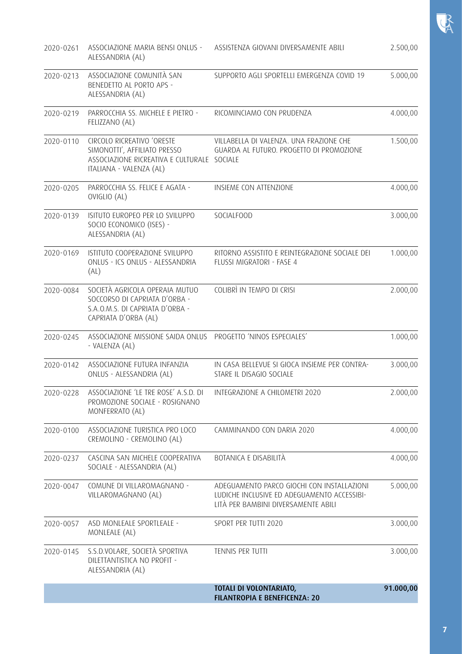|           |                                                                                                                                      | TOTALI DI VOLONTARIATO,<br><b>FILANTROPIA E BENEFICENZA: 20</b>                                                                  | 91.000,00 |
|-----------|--------------------------------------------------------------------------------------------------------------------------------------|----------------------------------------------------------------------------------------------------------------------------------|-----------|
| 2020-0145 | S.S.D.VOLARE, SOCIETÀ SPORTIVA<br>DILETTANTISTICA NO PROFIT -<br>ALESSANDRIA (AL)                                                    | TENNIS PER TUTTI                                                                                                                 | 3.000,00  |
| 2020-0057 | ASD MONLEALE SPORTLEALE -<br>MONLEALE (AL)                                                                                           | SPORT PER TUTTI 2020                                                                                                             | 3.000,00  |
| 2020-0047 | COMUNE DI VILLAROMAGNANO -<br>VILLAROMAGNANO (AL)                                                                                    | ADEGUAMENTO PARCO GIOCHI CON INSTALLAZIONI<br>LUDICHE INCLUSIVE ED ADEGUAMENTO ACCESSIBI-<br>LITÀ PER BAMBINI DIVERSAMENTE ABILI | 5.000,00  |
| 2020-0237 | CASCINA SAN MICHELE COOPERATIVA<br>SOCIALE - ALESSANDRIA (AL)                                                                        | BOTANICA E DISABILITÀ                                                                                                            | 4.000,00  |
| 2020-0100 | ASSOCIAZIONE TURISTICA PRO LOCO<br>CREMOLINO - CREMOLINO (AL)                                                                        | CAMMINANDO CON DARIA 2020                                                                                                        | 4.000,00  |
| 2020-0228 | ASSOCIAZIONE 'LE TRE ROSE' A.S.D. DI INTEGRAZIONE A CHILOMETRI 2020<br>PROMOZIONE SOCIALE - ROSIGNANO<br>MONFERRATO (AL)             |                                                                                                                                  | 2.000,00  |
| 2020-0142 | ASSOCIAZIONE FUTURA INFANZIA<br>ONLUS - ALESSANDRIA (AL)                                                                             | IN CASA BELLEVUE SI GIOCA INSIEME PER CONTRA-<br>STARE IL DISAGIO SOCIALE                                                        | 3.000,00  |
| 2020-0245 | ASSOCIAZIONE MISSIONE SAIDA ONLUS  PROGETTO 'NINOS ESPECIALES'<br>- VALENZA (AL)                                                     |                                                                                                                                  | 1.000,00  |
| 2020-0084 | SOCIETÀ AGRICOLA OPERAIA MUTUO<br>SOCCORSO DI CAPRIATA D'ORBA -<br>S.A.O.M.S. DI CAPRIATA D'ORBA -<br>CAPRIATA D'ORBA (AL)           | COLIBRÌ IN TEMPO DI CRISI                                                                                                        | 2.000,00  |
| 2020-0169 | ISTITUTO COOPERAZIONE SVILUPPO<br>ONLUS - ICS ONLUS - ALESSANDRIA<br>(AL)                                                            | RITORNO ASSISTITO E REINTEGRAZIONE SOCIALE DEI<br>FLUSSI MIGRATORI - FASE 4                                                      | 1.000,00  |
| 2020-0139 | ISITUTO EUROPEO PER LO SVILUPPO<br>SOCIO ECONOMICO (ISES) -<br>ALESSANDRIA (AL)                                                      | SOCIALFOOD                                                                                                                       | 3.000,00  |
| 2020-0205 | PARROCCHIA SS. FELICE E AGATA -<br>OVIGLIO (AL)                                                                                      | INSIEME CON ATTENZIONE                                                                                                           | 4.000,00  |
| 2020-0110 | CIRCOLO RICREATIVO 'ORESTE<br>SIMONOTTI', AFFILIATO PRESSO<br>ASSOCIAZIONE RICREATIVA E CULTURALE SOCIALE<br>ITALIANA - VALENZA (AL) | VILLABELLA DI VALENZA. UNA FRAZIONE CHE<br>GUARDA AL FUTURO. PROGETTO DI PROMOZIONE                                              | 1.500,00  |
| 2020-0219 | PARROCCHIA SS. MICHELE E PIETRO -<br>FELIZZANO (AL)                                                                                  | RICOMINCIAMO CON PRUDENZA                                                                                                        | 4.000,00  |
| 2020-0213 | ASSOCIAZIONE COMUNITÀ SAN<br>BENEDETTO AL PORTO APS -<br>ALESSANDRIA (AL)                                                            | SUPPORTO AGLI SPORTELLI EMERGENZA COVID 19                                                                                       | 5.000,00  |
| 2020-0261 | ASSOCIAZIONE MARIA BENSI ONLUS -<br>ALESSANDRIA (AL)                                                                                 | ASSISTENZA GIOVANI DIVERSAMENTE ABILI                                                                                            | 2.500,00  |

 $R$ 

**7**